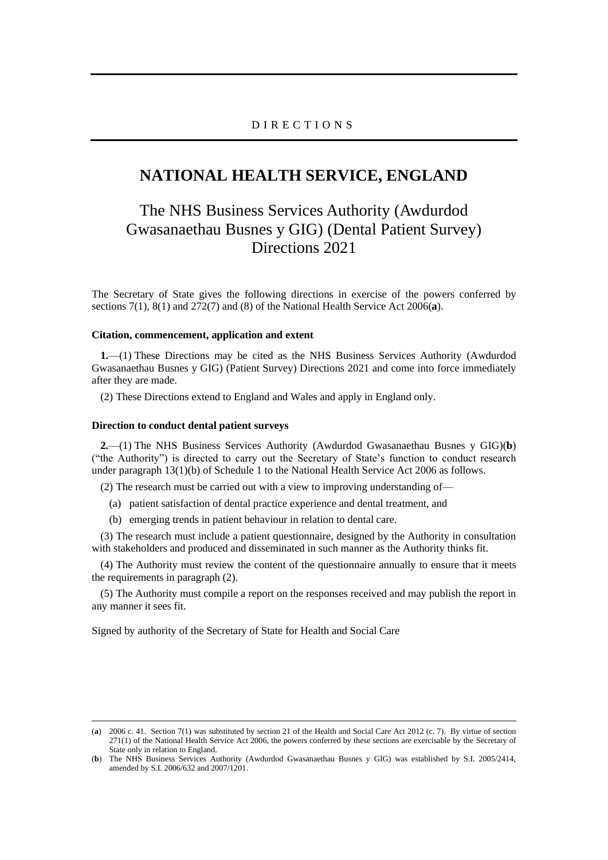### D I R E C T I O N S

## **NATIONAL HEALTH SERVICE, ENGLAND**

# The NHS Business Services Authority (Awdurdod Gwasanaethau Busnes y GIG) (Dental Patient Survey) Directions 2021

The Secretary of State gives the following directions in exercise of the powers conferred by sections 7(1), 8(1) and 272(7) and (8) of the National Health Service Act 2006(**a**).

#### **Citation, commencement, application and extent**

**1.**—(1) These Directions may be cited as the NHS Business Services Authority (Awdurdod Gwasanaethau Busnes y GIG) (Patient Survey) Directions 2021 and come into force immediately after they are made.

(2) These Directions extend to England and Wales and apply in England only.

### **Direction to conduct dental patient surveys**

**2.**—(1) The NHS Business Services Authority (Awdurdod Gwasanaethau Busnes y GIG)(**b**) ("the Authority") is directed to carry out the Secretary of State's function to conduct research under paragraph 13(1)(b) of Schedule 1 to the National Health Service Act 2006 as follows.

(2) The research must be carried out with a view to improving understanding of—

- (a) patient satisfaction of dental practice experience and dental treatment, and
- (b) emerging trends in patient behaviour in relation to dental care.

(3) The research must include a patient questionnaire, designed by the Authority in consultation with stakeholders and produced and disseminated in such manner as the Authority thinks fit.

(4) The Authority must review the content of the questionnaire annually to ensure that it meets the requirements in paragraph (2).

(5) The Authority must compile a report on the responses received and may publish the report in any manner it sees fit.

Signed by authority of the Secretary of State for Health and Social Care

<sup>(</sup>**a**) 2006 c. 41. Section 7(1) was substituted by section 21 of the Health and Social Care Act 2012 (c. 7). By virtue of section 271(1) of the National Health Service Act 2006, the powers conferred by these sections are exercisable by the Secretary of State only in relation to England.

<sup>(</sup>**b**) The NHS Business Services Authority (Awdurdod Gwasanaethau Busnes y GIG) was established by S.I. 2005/2414, amended by S.I. 2006/632 and 2007/1201.